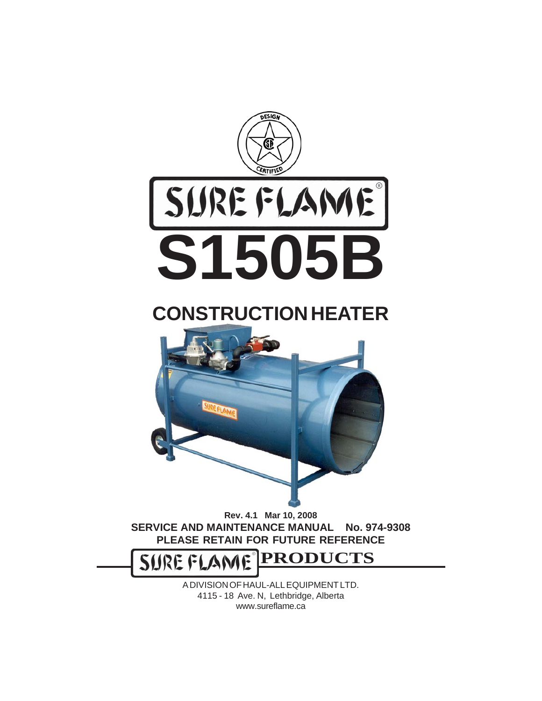

# **CONSTRUCTION HEATER**



**Rev. 4.1 Mar 10, 2008 SERVICE AND MAINTENANCE MANUAL No. 974-9308 PLEASE RETAIN FOR FUTURE REFERENCE**

**PRODUCTS SUREF** 

> A DIVISION OF HAUL-ALL EQUIPMENT LTD. 4115 - 18 Ave. N, Lethbridge, Alberta www.sureflame.ca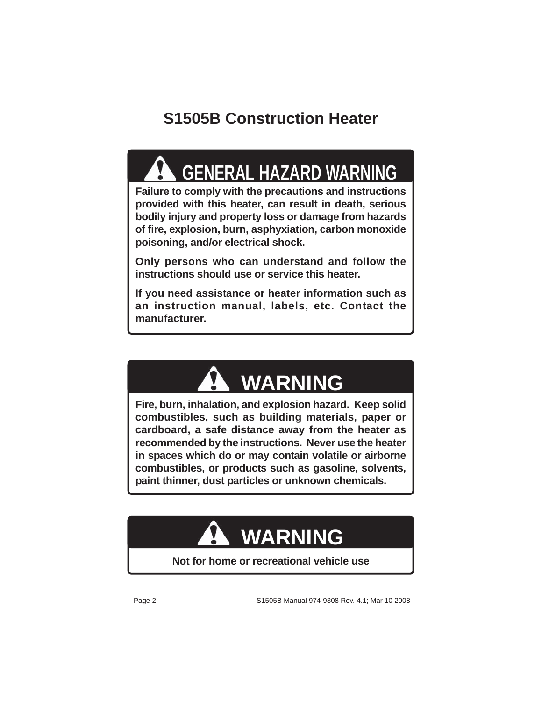## **S1505B Construction Heater**

# **GENERAL HAZARD WARNING**

**Failure to comply with the precautions and instructions provided with this heater, can result in death, serious bodily injury and property loss or damage from hazards of fire, explosion, burn, asphyxiation, carbon monoxide poisoning, and/or electrical shock.**

**Only persons who can understand and follow the instructions should use or service this heater.**

**If you need assistance or heater information such as an instruction manual, labels, etc. Contact the manufacturer.**

# **WARNING**

**Fire, burn, inhalation, and explosion hazard. Keep solid combustibles, such as building materials, paper or cardboard, a safe distance away from the heater as recommended by the instructions. Never use the heater in spaces which do or may contain volatile or airborne combustibles, or products such as gasoline, solvents, paint thinner, dust particles or unknown chemicals.**

# **WARNING**

#### **Not for home or recreational vehicle use**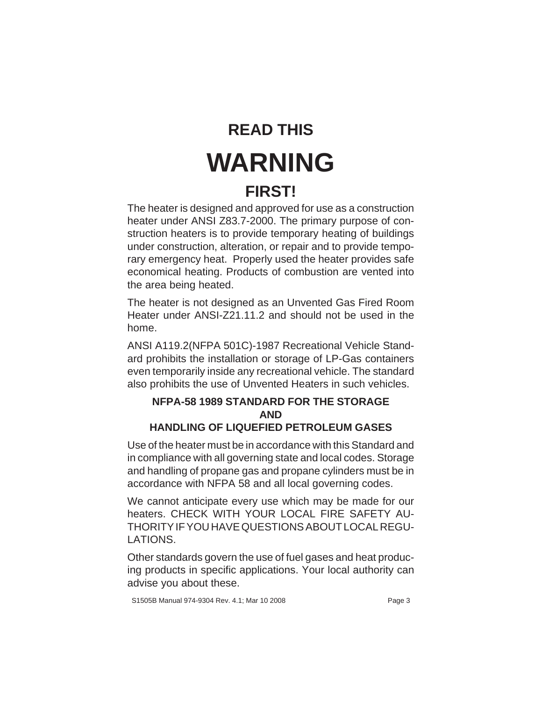# **READ THIS WARNING**

### **FIRST!**

The heater is designed and approved for use as a construction heater under ANSI Z83.7-2000. The primary purpose of construction heaters is to provide temporary heating of buildings under construction, alteration, or repair and to provide temporary emergency heat. Properly used the heater provides safe economical heating. Products of combustion are vented into the area being heated.

The heater is not designed as an Unvented Gas Fired Room Heater under ANSI-Z21.11.2 and should not be used in the home.

ANSI A119.2(NFPA 501C)-1987 Recreational Vehicle Standard prohibits the installation or storage of LP-Gas containers even temporarily inside any recreational vehicle. The standard also prohibits the use of Unvented Heaters in such vehicles.

#### **NFPA-58 1989 STANDARD FOR THE STORAGE AND HANDLING OF LIQUEFIED PETROLEUM GASES**

Use of the heater must be in accordance with this Standard and in compliance with all governing state and local codes. Storage and handling of propane gas and propane cylinders must be in accordance with NFPA 58 and all local governing codes.

We cannot anticipate every use which may be made for our heaters. CHECK WITH YOUR LOCAL FIRE SAFETY AU-THORITY IF YOU HAVE QUESTIONS ABOUT LOCAL REGU-LATIONS.

Other standards govern the use of fuel gases and heat producing products in specific applications. Your local authority can advise you about these.

S1505B Manual 974-9304 Rev. 4.1; Mar 10 2008 example 3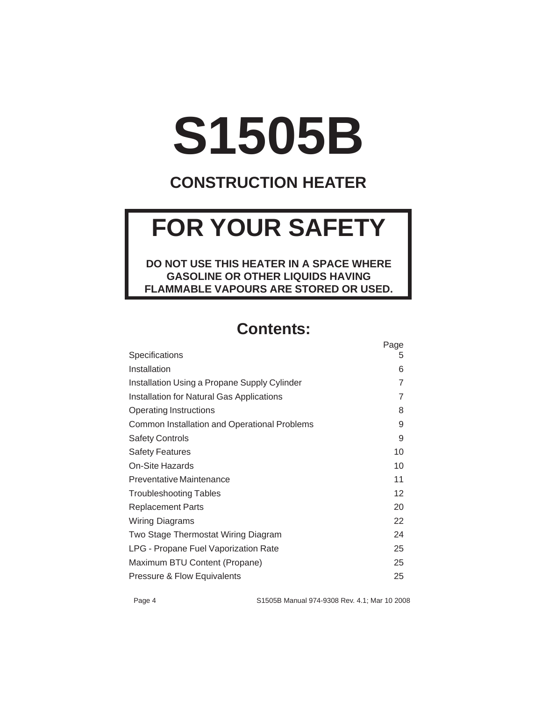# **S1505B**

### **CONSTRUCTION HEATER**

# **FOR YOUR SAFETY**

**DO NOT USE THIS HEATER IN A SPACE WHERE GASOLINE OR OTHER LIQUIDS HAVING FLAMMABLE VAPOURS ARE STORED OR USED.**

#### **Contents:**

|                                                  | Page |
|--------------------------------------------------|------|
| Specifications                                   | 5    |
| Installation                                     | 6    |
| Installation Using a Propane Supply Cylinder     | 7    |
| <b>Installation for Natural Gas Applications</b> | 7    |
| <b>Operating Instructions</b>                    | 8    |
| Common Installation and Operational Problems     | 9    |
| <b>Safety Controls</b>                           | 9    |
| <b>Safety Features</b>                           | 10   |
| On-Site Hazards                                  | 10   |
| Preventative Maintenance                         | 11   |
| <b>Troubleshooting Tables</b>                    | 12   |
| <b>Replacement Parts</b>                         | 20   |
| Wiring Diagrams                                  | 22   |
| Two Stage Thermostat Wiring Diagram              | 24   |
| LPG - Propane Fuel Vaporization Rate             | 25   |
| Maximum BTU Content (Propane)                    | 25   |
| Pressure & Flow Equivalents                      | 25   |

Page 4 S1505B Manual 974-9308 Rev. 4.1; Mar 10 2008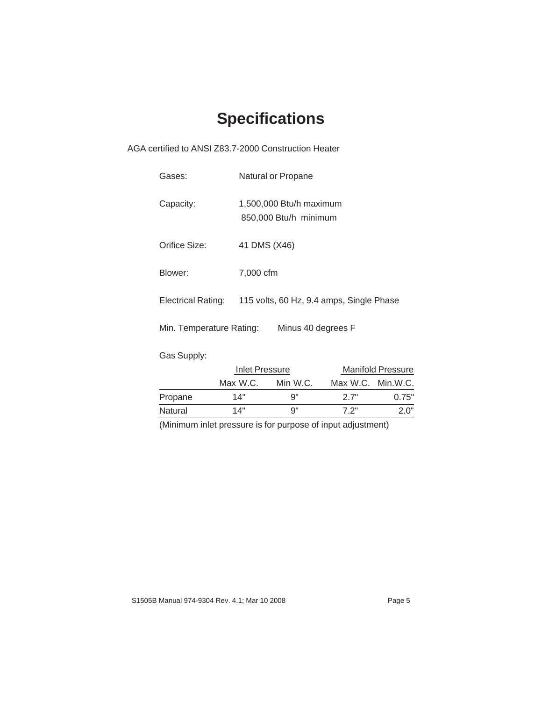## **Specifications**

AGA certified to ANSI Z83.7-2000 Construction Heater

| Gases:                   | Natural or Propane                               |
|--------------------------|--------------------------------------------------|
| Capacity:                | 1,500,000 Btu/h maximum<br>850,000 Btu/h minimum |
| Orifice Size:            | 41 DMS (X46)                                     |
| Blower:                  | 7,000 cfm                                        |
| Electrical Rating:       | 115 volts, 60 Hz, 9.4 amps, Single Phase         |
| Min. Temperature Rating: | Minus 40 degrees F                               |
| Gas Supply:              |                                                  |

|         | Inlet Pressure |          |                   | <b>Manifold Pressure</b> |
|---------|----------------|----------|-------------------|--------------------------|
|         | Max W.C.       | Min W.C. | Max W.C. Min.W.C. |                          |
| Propane | 14"            | a"       | 27"               | 0.75"                    |
| Natural | 14"            | a"       | フ 2"              | 2 በ"                     |

(Minimum inlet pressure is for purpose of input adjustment)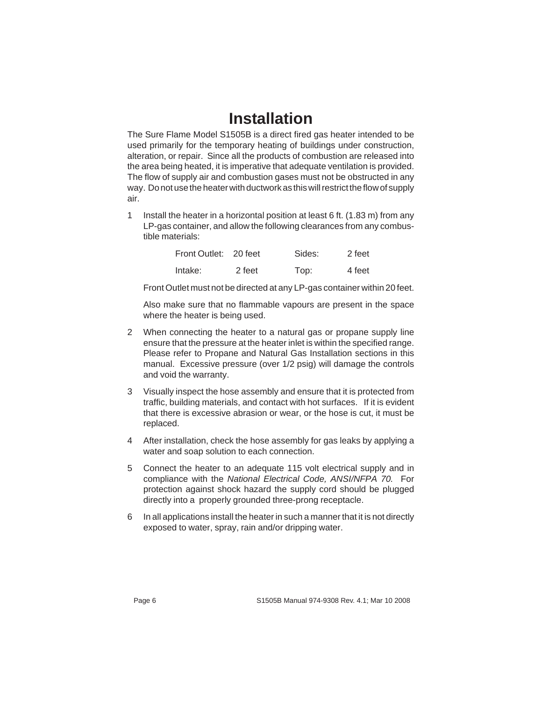#### **Installation**

The Sure Flame Model S1505B is a direct fired gas heater intended to be used primarily for the temporary heating of buildings under construction, alteration, or repair. Since all the products of combustion are released into the area being heated, it is imperative that adequate ventilation is provided. The flow of supply air and combustion gases must not be obstructed in any way. Do not use the heater with ductwork as this will restrict the flow of supply air.

1 Install the heater in a horizontal position at least 6 ft. (1.83 m) from any LP-gas container, and allow the following clearances from any combustible materials:

| Front Outlet: 20 feet |        | Sides: | 2 feet |
|-----------------------|--------|--------|--------|
| lntake:               | 2 feet | Top:   | 4 feet |

Front Outlet must not be directed at any LP-gas container within 20 feet.

Also make sure that no flammable vapours are present in the space where the heater is being used.

- 2 When connecting the heater to a natural gas or propane supply line ensure that the pressure at the heater inlet is within the specified range. Please refer to Propane and Natural Gas Installation sections in this manual. Excessive pressure (over 1/2 psig) will damage the controls and void the warranty.
- 3 Visually inspect the hose assembly and ensure that it is protected from traffic, building materials, and contact with hot surfaces. If it is evident that there is excessive abrasion or wear, or the hose is cut, it must be replaced.
- 4 After installation, check the hose assembly for gas leaks by applying a water and soap solution to each connection.
- 5 Connect the heater to an adequate 115 volt electrical supply and in compliance with the National Electrical Code, ANSI/NFPA 70. For protection against shock hazard the supply cord should be plugged directly into a properly grounded three-prong receptacle.
- 6 In all applications install the heater in such a manner that it is not directly exposed to water, spray, rain and/or dripping water.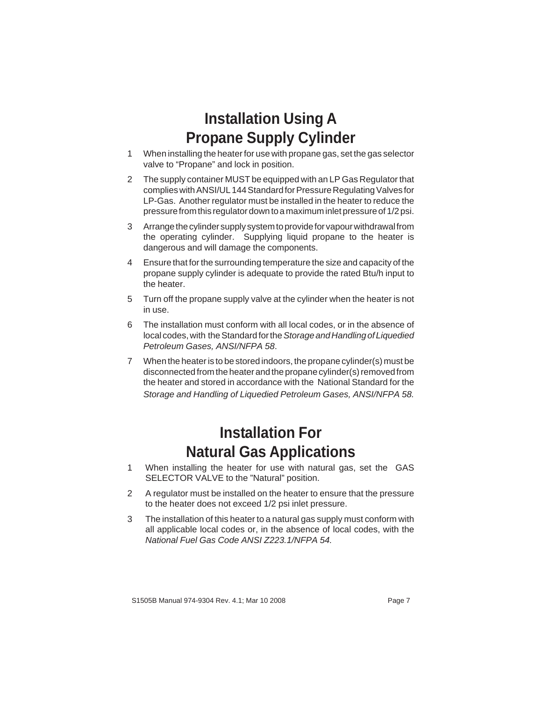#### **Installation Using A Propane Supply Cylinder**

- 1 When installing the heater for use with propane gas, set the gas selector valve to "Propane" and lock in position.
- 2 The supply container MUST be equipped with an LP Gas Regulator that complies with ANSI/UL 144 Standard for Pressure Regulating Valves for LP-Gas. Another regulator must be installed in the heater to reduce the pressure from this regulator down to a maximum inlet pressure of 1/2 psi.
- 3 Arrange the cylinder supply system to provide for vapour withdrawal from the operating cylinder. Supplying liquid propane to the heater is dangerous and will damage the components.
- 4 Ensure that for the surrounding temperature the size and capacity of the propane supply cylinder is adequate to provide the rated Btu/h input to the heater.
- 5 Turn off the propane supply valve at the cylinder when the heater is not in use.
- 6 The installation must conform with all local codes, or in the absence of local codes, with the Standard for the Storage and Handling of Liquedied Petroleum Gases, ANSI/NFPA 58.
- 7 When the heater is to be stored indoors, the propane cylinder(s) must be disconnected from the heater and the propane cylinder(s) removed from the heater and stored in accordance with the National Standard for the Storage and Handling of Liquedied Petroleum Gases, ANSI/NFPA 58.

#### **Installation For Natural Gas Applications**

- 1 When installing the heater for use with natural gas, set the GAS SELECTOR VALVE to the "Natural" position.
- 2 A regulator must be installed on the heater to ensure that the pressure to the heater does not exceed 1/2 psi inlet pressure.
- 3 The installation of this heater to a natural gas supply must conform with all applicable local codes or, in the absence of local codes, with the National Fuel Gas Code ANSI Z223.1/NFPA 54.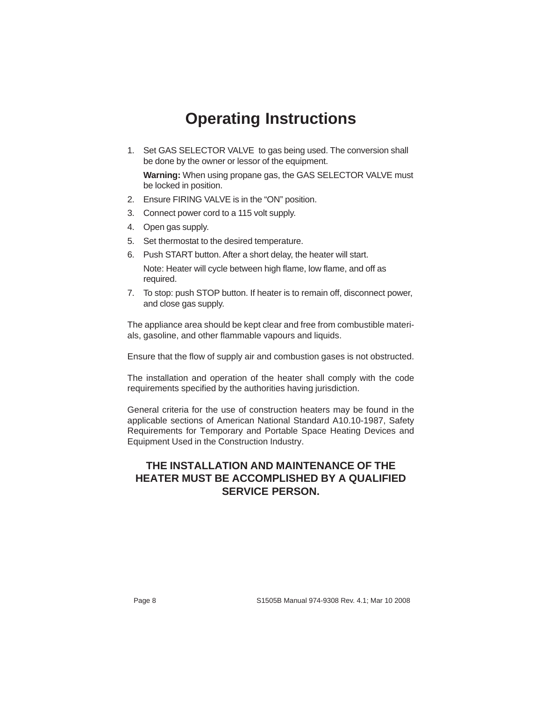## **Operating Instructions**

1. Set GAS SELECTOR VALVE to gas being used. The conversion shall be done by the owner or lessor of the equipment.

**Warning:** When using propane gas, the GAS SELECTOR VALVE must be locked in position.

- 2. Ensure FIRING VALVE is in the "ON" position.
- 3. Connect power cord to a 115 volt supply.
- 4. Open gas supply.
- 5. Set thermostat to the desired temperature.
- 6. Push START button. After a short delay, the heater will start.

Note: Heater will cycle between high flame, low flame, and off as required.

7. To stop: push STOP button. If heater is to remain off, disconnect power, and close gas supply.

The appliance area should be kept clear and free from combustible materials, gasoline, and other flammable vapours and liquids.

Ensure that the flow of supply air and combustion gases is not obstructed.

The installation and operation of the heater shall comply with the code requirements specified by the authorities having jurisdiction.

General criteria for the use of construction heaters may be found in the applicable sections of American National Standard A10.10-1987, Safety Requirements for Temporary and Portable Space Heating Devices and Equipment Used in the Construction Industry.

#### **THE INSTALLATION AND MAINTENANCE OF THE HEATER MUST BE ACCOMPLISHED BY A QUALIFIED SERVICE PERSON.**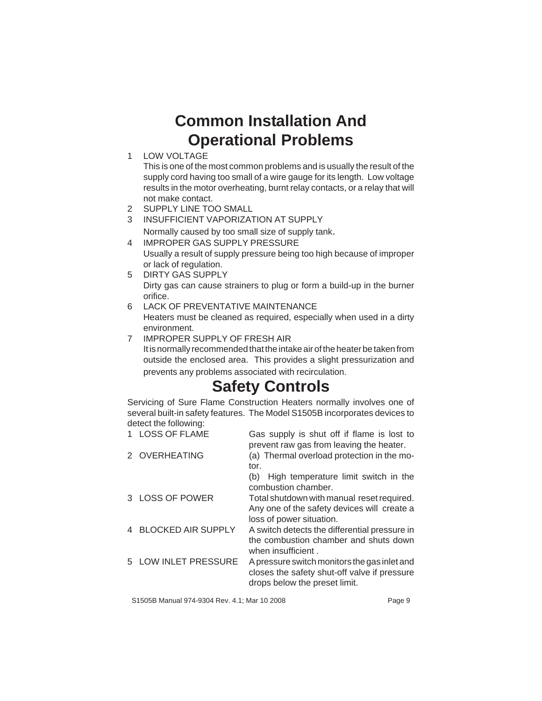#### **Common Installation And Operational Problems**

1 LOW VOLTAGE

This is one of the most common problems and is usually the result of the supply cord having too small of a wire gauge for its length. Low voltage results in the motor overheating, burnt relay contacts, or a relay that will not make contact.

- 2 SUPPLY LINE TOO SMALL
- 3 INSUFFICIENT VAPORIZATION AT SUPPLY
	- Normally caused by too small size of supply tank.
- 4 IMPROPER GAS SUPPLY PRESSURE Usually a result of supply pressure being too high because of improper or lack of regulation.
- 5 DIRTY GAS SUPPLY Dirty gas can cause strainers to plug or form a build-up in the burner orifice.
- 6 LACK OF PREVENTATIVE MAINTENANCE Heaters must be cleaned as required, especially when used in a dirty environment.
- 7 IMPROPER SUPPLY OF FRESH AIR It is normally recommended that the intake air of the heater be taken from outside the enclosed area. This provides a slight pressurization and prevents any problems associated with recirculation.

#### **Safety Controls**

Servicing of Sure Flame Construction Heaters normally involves one of several built-in safety features. The Model S1505B incorporates devices to detect the following:

| <b>LOSS OF FLAME</b> | Gas supply is shut off if flame is lost to<br>prevent raw gas from leaving the heater.                                        |
|----------------------|-------------------------------------------------------------------------------------------------------------------------------|
| 2 OVERHEATING        | (a) Thermal overload protection in the mo-<br>tor.                                                                            |
|                      | High temperature limit switch in the<br>(b)<br>combustion chamber.                                                            |
| 3 LOSS OF POWER      | Total shutdown with manual reset required.<br>Any one of the safety devices will create a<br>loss of power situation.         |
| 4 BLOCKED AIR SUPPLY | A switch detects the differential pressure in<br>the combustion chamber and shuts down<br>when insufficient.                  |
| 5 LOW INLET PRESSURE | A pressure switch monitors the gas inlet and<br>closes the safety shut-off valve if pressure<br>drops below the preset limit. |
|                      |                                                                                                                               |

S1505B Manual 974-9304 Rev. 4.1; Mar 10 2008 Page 9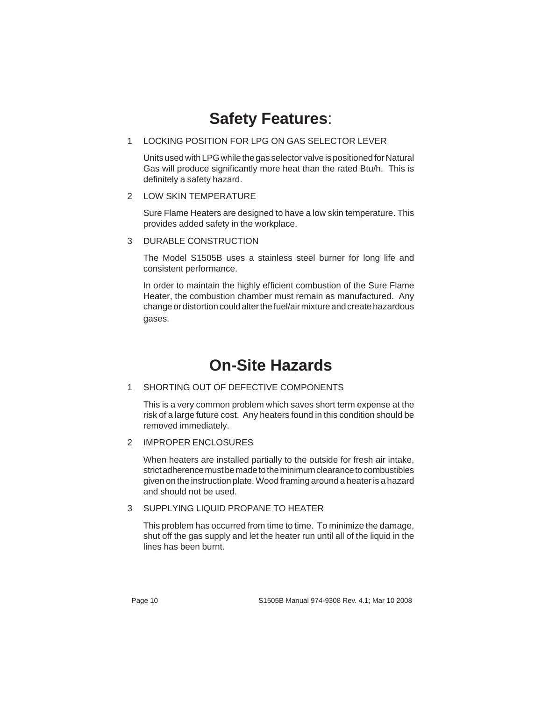#### **Safety Features**:

#### 1 LOCKING POSITION FOR LPG ON GAS SELECTOR LEVER

Units used with LPG while the gas selector valve is positioned for Natural Gas will produce significantly more heat than the rated Btu/h. This is definitely a safety hazard.

2 LOW SKIN TEMPERATURE

Sure Flame Heaters are designed to have a low skin temperature. This provides added safety in the workplace.

3 DURABLE CONSTRUCTION

The Model S1505B uses a stainless steel burner for long life and consistent performance.

In order to maintain the highly efficient combustion of the Sure Flame Heater, the combustion chamber must remain as manufactured. Any change or distortion could alter the fuel/air mixture and create hazardous gases.

#### **On-Site Hazards**

#### 1 SHORTING OUT OF DEFECTIVE COMPONENTS

This is a very common problem which saves short term expense at the risk of a large future cost. Any heaters found in this condition should be removed immediately.

2 IMPROPER ENCLOSURES

When heaters are installed partially to the outside for fresh air intake, strict adherence must be made to the minimum clearance to combustibles given on the instruction plate. Wood framing around a heater is a hazard and should not be used.

#### 3 SUPPLYING LIQUID PROPANE TO HEATER

This problem has occurred from time to time. To minimize the damage, shut off the gas supply and let the heater run until all of the liquid in the lines has been burnt.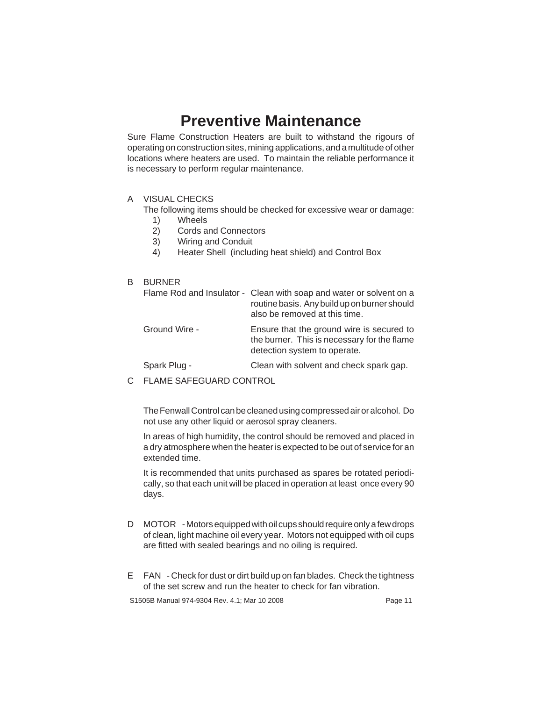#### **Preventive Maintenance**

Sure Flame Construction Heaters are built to withstand the rigours of operating on construction sites, mining applications, and a multitude of other locations where heaters are used. To maintain the reliable performance it is necessary to perform regular maintenance.

#### A VISUAL CHECKS

The following items should be checked for excessive wear or damage:

- 1) Wheels<br>2) Cords a
- 2) Cords and Connectors
- 3) Wiring and Conduit
- 4) Heater Shell (including heat shield) and Control Box

#### B BURNER

|               | Flame Rod and Insulator - Clean with soap and water or solvent on a<br>routine basis. Any build up on burner should<br>also be removed at this time. |
|---------------|------------------------------------------------------------------------------------------------------------------------------------------------------|
| Ground Wire - | Ensure that the ground wire is secured to<br>the burner. This is necessary for the flame<br>detection system to operate.                             |
| Spark Plug -  | Clean with solvent and check spark gap.                                                                                                              |

C FLAME SAFEGUARD CONTROL

The Fenwall Control can be cleaned using compressed air or alcohol. Do not use any other liquid or aerosol spray cleaners.

In areas of high humidity, the control should be removed and placed in a dry atmosphere when the heater is expected to be out of service for an extended time.

It is recommended that units purchased as spares be rotated periodically, so that each unit will be placed in operation at least once every 90 days.

- D MOTOR Motors equipped with oil cups should require only a few drops of clean, light machine oil every year. Motors not equipped with oil cups are fitted with sealed bearings and no oiling is required.
- E FAN Check for dust or dirt build up on fan blades. Check the tightness of the set screw and run the heater to check for fan vibration.

S1505B Manual 974-9304 Rev. 4.1; Mar 10 2008 example 11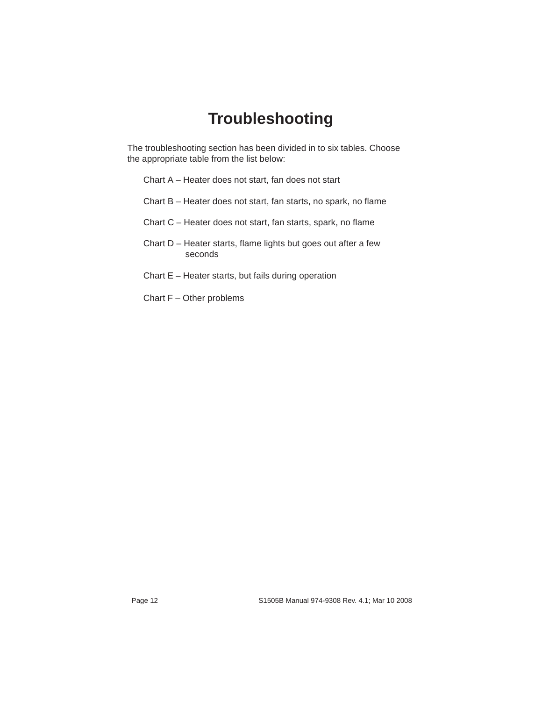#### **Troubleshooting**

The troubleshooting section has been divided in to six tables. Choose the appropriate table from the list below:

- Chart A Heater does not start, fan does not start
- Chart B Heater does not start, fan starts, no spark, no flame
- Chart C Heater does not start, fan starts, spark, no flame
- Chart D Heater starts, flame lights but goes out after a few seconds
- Chart E Heater starts, but fails during operation
- Chart F Other problems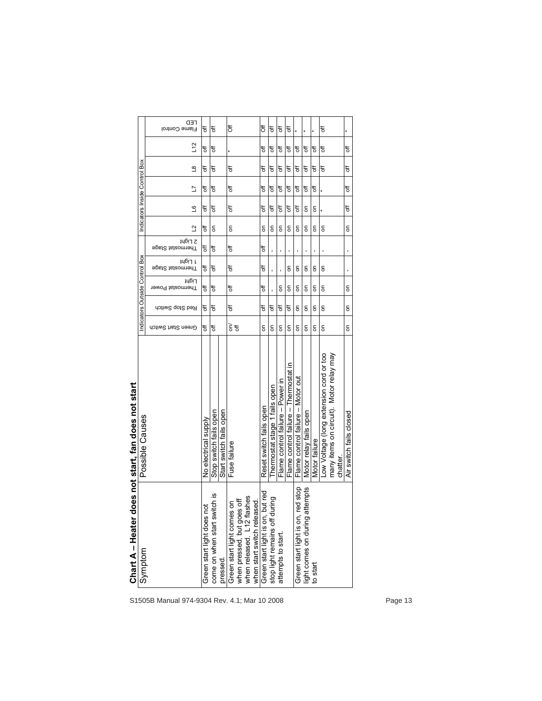|                                                       | <b></b> TED<br>Flame Control       | ъ                          | t                                                 | ិ៍                                                                                                                                   | <b>FO</b>                           | t                                | đ                                                                                                                                                                                                                                                                                                                                                                                                                                                        | ъ                                     |                                     |                                |                     | t                                                                                                                                                          |                         |
|-------------------------------------------------------|------------------------------------|----------------------------|---------------------------------------------------|--------------------------------------------------------------------------------------------------------------------------------------|-------------------------------------|----------------------------------|----------------------------------------------------------------------------------------------------------------------------------------------------------------------------------------------------------------------------------------------------------------------------------------------------------------------------------------------------------------------------------------------------------------------------------------------------------|---------------------------------------|-------------------------------------|--------------------------------|---------------------|------------------------------------------------------------------------------------------------------------------------------------------------------------|-------------------------|
|                                                       | L12                                | đ                          | t                                                 | ¥                                                                                                                                    | t                                   | ъ                                | ₹                                                                                                                                                                                                                                                                                                                                                                                                                                                        | ъ                                     | t                                   | đ                              | ъ                   | t                                                                                                                                                          | ъ                       |
| Indicators Inside Control Box                         | $\overline{8}$                     | đ                          | đ                                                 | ₩                                                                                                                                    | đ                                   | đ                                | đ                                                                                                                                                                                                                                                                                                                                                                                                                                                        | F                                     | đ                                   | đ                              | đ                   | ₩                                                                                                                                                          | đ                       |
|                                                       | 2                                  | đ                          | đ                                                 | đ                                                                                                                                    | ₩                                   | đ                                | ₩                                                                                                                                                                                                                                                                                                                                                                                                                                                        | đ                                     | $\overline{5}$                      | đ                              | đ                   |                                                                                                                                                            | đ                       |
|                                                       | $\mathbf{S}$                       | đ                          | đ                                                 | ₹                                                                                                                                    | đ                                   | $\overline{5}$                   | đ                                                                                                                                                                                                                                                                                                                                                                                                                                                        | F                                     | đ                                   | $\mathsf{S}\,$                 | $\mathsf{S}$        |                                                                                                                                                            | đ                       |
|                                                       | ₫                                  | ₹                          | $\overline{5}$                                    | $\overline{5}$                                                                                                                       | $\overline{5}$                      | $\mathsf{S}$                     | $\mathsf{S}% _{T}=\mathsf{S}_{T}\!\left( a,b\right) ,\mathsf{S}_{T}=\mathsf{S}_{T}\!\left( a,b\right) ,\mathsf{S}_{T}=\mathsf{S}_{T}\!\left( a,b\right) ,$                                                                                                                                                                                                                                                                                               | $\mathsf{S}\,$                        | $\mathsf{S}$                        | $\mathsf{S}\,$                 | ã                   | δ                                                                                                                                                          | δ                       |
|                                                       | 2 Light<br><b>Fhermostat Stage</b> | ₩                          | đ                                                 | đ                                                                                                                                    | đ                                   |                                  |                                                                                                                                                                                                                                                                                                                                                                                                                                                          |                                       |                                     |                                |                     |                                                                                                                                                            |                         |
| Box                                                   | Jubil 1<br><b>Fhermostat Stage</b> | ₩                          | đ                                                 | ₹                                                                                                                                    | đ                                   |                                  |                                                                                                                                                                                                                                                                                                                                                                                                                                                          | δ                                     | S                                   | δ                              | ã                   | $\mathsf{S}% _{T}=\mathsf{S}_{T}\!\left( a,b\right) ,\mathsf{S}_{T}=\mathsf{S}_{T}\!\left( a,b\right) ,\mathsf{S}_{T}=\mathsf{S}_{T}\!\left( a,b\right) ,$ |                         |
| Indicators Outside Control                            | <b>Light</b><br>Thermostat Power   | đ                          | <sup>6</sup>                                      | đ                                                                                                                                    | đ                                   |                                  | $\mathsf{S}$                                                                                                                                                                                                                                                                                                                                                                                                                                             | $\overline{5}$                        | $\mathsf{S}$                        | $\mathsf{S}$                   | $\mathsf{S}$        | δ                                                                                                                                                          | δ                       |
|                                                       | Red Stop Switch                    | ₹                          | đ                                                 | đ                                                                                                                                    | ₹                                   | đ                                | ₹                                                                                                                                                                                                                                                                                                                                                                                                                                                        | <sup>6</sup>                          | $\mathsf{S}$                        | $\overline{5}$                 | $\overline{\delta}$ | δ                                                                                                                                                          | δ                       |
|                                                       | Green Start Switch                 | ₹                          | ₩                                                 | 동                                                                                                                                    | δ                                   |                                  | $\mathsf{S}% _{T}=\mathsf{S}_{T}\!\left( a,b\right) ,\mathsf{S}_{T}=\mathsf{S}_{T}\!\left( a,b\right) ,\mathsf{S}_{T}=\mathsf{S}_{T}\!\left( a,b\right) ,\mathsf{S}_{T}=\mathsf{S}_{T}\!\left( a,b\right) ,\mathsf{S}_{T}=\mathsf{S}_{T}\!\left( a,b\right) ,\mathsf{S}_{T}=\mathsf{S}_{T}\!\left( a,b\right) ,\mathsf{S}_{T}=\mathsf{S}_{T}\!\left( a,b\right) ,\mathsf{S}_{T}=\mathsf{S}_{T}\!\left( a,b\right) ,\mathsf{S}_{T}=\mathsf{S}_{T}\!\left$ | $\overline{\rm s}$                    |                                     | $\overline{5}$                 | 5                   | $\mathsf{S}$                                                                                                                                               | δ                       |
| loes not start, fan does not start<br>Possible Causes |                                    | No electrical supply       | Stop switch fails open<br>Start switch fails open | Fuse failure                                                                                                                         | Reset switch fails open             | fails open<br>Thermostat stage 1 | Flame control failure - Power in                                                                                                                                                                                                                                                                                                                                                                                                                         | Flame control failure - Thermostat in | Flame control failure - Motor out   | Motor relay fails open         | Motor failure       | Low Voltage (long extension cord or too<br>many items on circuit). Motor relay may<br>chatter.                                                             | Air switch fails closed |
| $CharA-Heater d$<br>Symptom                           |                                    | Green start light does not | ritch is<br>come on when start sw<br>pressed.     | when released. L12 flashes<br>when start switch released.<br>when pressed, but goes off<br>$\overline{5}$<br>Green start light comes | but red<br>Green start light is on, | stop light remains off during    | attempts to start.                                                                                                                                                                                                                                                                                                                                                                                                                                       |                                       | ed stop<br>Green start light is on, | light comes on during attempts | to start            |                                                                                                                                                            |                         |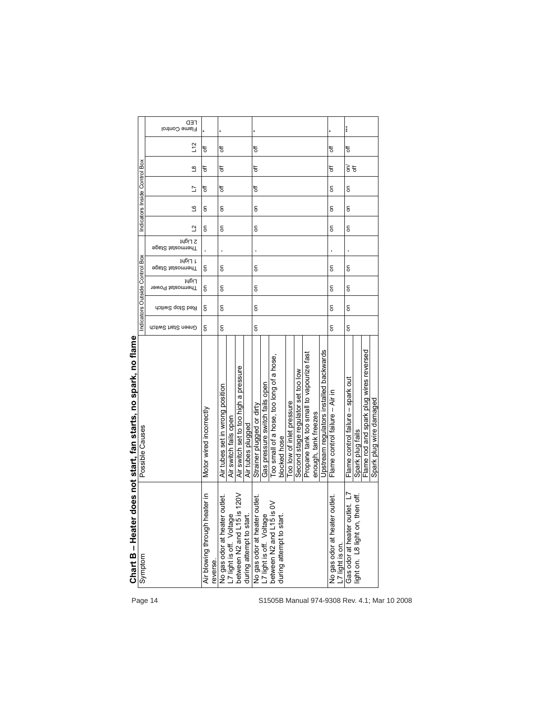|                                              | Chart B – Heater d                                  | loes not start, fan starts, no spark, no flame |                    |                 |                               |                             |                             |                     |                               |   |      |     |                              |
|----------------------------------------------|-----------------------------------------------------|------------------------------------------------|--------------------|-----------------|-------------------------------|-----------------------------|-----------------------------|---------------------|-------------------------------|---|------|-----|------------------------------|
|                                              | Symptom                                             | Possible Causes                                |                    |                 | ndicators Outside Control Box |                             |                             |                     | Indicators Inside Control Box |   |      |     |                              |
| Page 14                                      |                                                     |                                                | Green Start Switch | Red Stop Switch | Light<br>Thermostat Power     | 14617 L<br>Fhermostat Stage | 2 Light<br>∋psi2 tsteomnenT | ₫                   | 5<br>ڡ                        |   | ്ട   | L12 | <b></b> TED<br>Flame Control |
|                                              | ater in<br>Air blowing through hea<br>reverse.      | Motor wired incorrectly                        | δ                  | $\overline{5}$  | $\overline{5}$                | δ                           |                             | δ<br>$\overline{5}$ | đ                             | ₹ | ₹    |     |                              |
|                                              | <sub>utlet</sub>                                    | Air tubes set in wrong position                | δ                  | δ               | δ                             | S                           |                             | g                   | đ<br>δ                        |   | đ    | ₩   |                              |
|                                              | No gas odor at heater o<br>L7 light is off. Voltage | Air switch fails open                          |                    |                 |                               |                             |                             |                     |                               |   |      |     |                              |
|                                              | 120V<br>between N2 and L15 is                       | Air switch set to too high a pressure          |                    |                 |                               |                             |                             |                     |                               |   |      |     |                              |
|                                              | during attempt to start                             | Air tubes plugged                              |                    |                 |                               |                             |                             |                     |                               |   |      |     |                              |
|                                              | jutlet.                                             | Strainer plugged or dirty                      | δ                  | δ               |                               | g                           |                             | g<br>g              | đ                             |   | đ    | ₩   |                              |
|                                              | No gas odor at heater o<br>L7 light is off. Voltage | Gas pressure switch fails open                 |                    |                 |                               |                             |                             |                     |                               |   |      |     |                              |
|                                              | ≳<br>between N2 and L15 is                          | Too small of a hose, too long of a hose,       |                    |                 |                               |                             |                             |                     |                               |   |      |     |                              |
|                                              | during attempt to start.                            | blocked hose                                   |                    |                 |                               |                             |                             |                     |                               |   |      |     |                              |
|                                              |                                                     | Too low of inlet pressure                      |                    |                 |                               |                             |                             |                     |                               |   |      |     |                              |
|                                              |                                                     | Second stage regulator set too low             |                    |                 |                               |                             |                             |                     |                               |   |      |     |                              |
|                                              |                                                     | Propane tank too small to vapourize fast       |                    |                 |                               |                             |                             |                     |                               |   |      |     |                              |
|                                              |                                                     | enough, tank freezes                           |                    |                 |                               |                             |                             |                     |                               |   |      |     |                              |
|                                              |                                                     | Upstream regulators installed backwards        |                    |                 |                               |                             |                             |                     |                               |   |      |     |                              |
|                                              | No gas odor at heater outlet<br>_7 light is on.     | Flame control failure - Air in                 | δ                  | δ               | $\overline{5}$                | δ                           |                             | g                   | ā<br>g                        |   | ₩    | ₩   |                              |
|                                              | et. L7<br>Gas odor at heater out                    | Flame control failure - spark out              | δ                  | δ               | δ                             | $\overline{5}$              |                             | $\overline{5}$      | $\overline{5}$<br>g           |   | हे इ | đ   | ***                          |
|                                              | ight on. L8 light on, then off.                     | Spark plug fails                               |                    |                 |                               |                             |                             |                     |                               |   |      |     |                              |
|                                              |                                                     | Flame rod and spark plug wires reversed        |                    |                 |                               |                             |                             |                     |                               |   |      |     |                              |
|                                              |                                                     | Spark plug wire damaged                        |                    |                 |                               |                             |                             |                     |                               |   |      |     |                              |
| S1505B Manual 974-9308 Rev. 4.1; Mar 10 2008 |                                                     |                                                |                    |                 |                               |                             |                             |                     |                               |   |      |     |                              |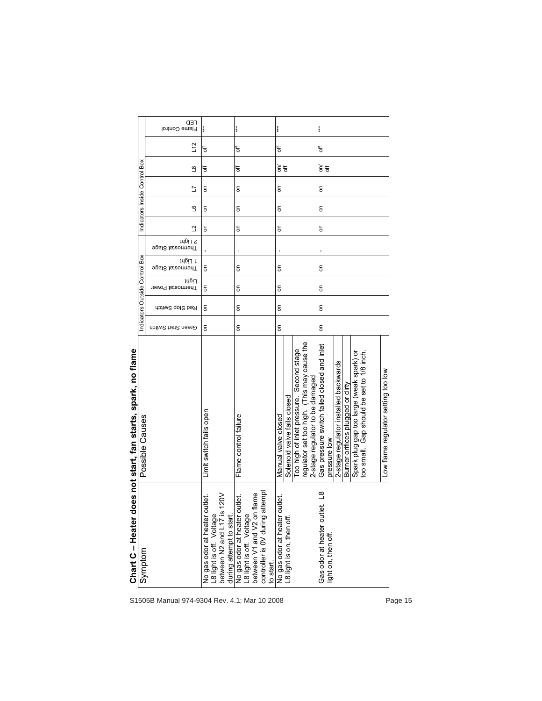|                                | <b></b> TED<br>Flame Control<br>L12 | đ                                                                                                                   | ***<br>₹                                                                                                                                                   | ***<br>đ                                                                                                                                                                         | ***<br>đ                                                                                                                                                                                                                                                                 |
|--------------------------------|-------------------------------------|---------------------------------------------------------------------------------------------------------------------|------------------------------------------------------------------------------------------------------------------------------------------------------------|----------------------------------------------------------------------------------------------------------------------------------------------------------------------------------|--------------------------------------------------------------------------------------------------------------------------------------------------------------------------------------------------------------------------------------------------------------------------|
|                                | ്ട                                  | ₹                                                                                                                   | đ                                                                                                                                                          | $\widetilde{\epsilon}$ $\sharp$                                                                                                                                                  | हे इ                                                                                                                                                                                                                                                                     |
| Indicators Inside Control Box  | 5                                   | $\overline{5}$                                                                                                      | $\mathsf{S}% _{T}=\mathsf{S}_{T}\!\left( a,b\right) ,\mathsf{S}_{T}=\mathsf{S}_{T}\!\left( a,b\right) ,\mathsf{S}_{T}=\mathsf{S}_{T}\!\left( a,b\right) ,$ | ā                                                                                                                                                                                | $\overline{5}$                                                                                                                                                                                                                                                           |
|                                | ڡ                                   | $\overline{5}$                                                                                                      | δ                                                                                                                                                          | $\overline{5}$                                                                                                                                                                   | $\overline{5}$                                                                                                                                                                                                                                                           |
|                                | ٩                                   | $\overline{5}$                                                                                                      | g                                                                                                                                                          | $\overline{5}$                                                                                                                                                                   | $\overline{5}$                                                                                                                                                                                                                                                           |
|                                | 2 Light<br>∋psi2 tsteomnenT         |                                                                                                                     |                                                                                                                                                            |                                                                                                                                                                                  |                                                                                                                                                                                                                                                                          |
|                                | 1 Light<br>Fhermostat Stage         | $\overline{5}$                                                                                                      | δ                                                                                                                                                          | ā                                                                                                                                                                                | $\overline{5}$                                                                                                                                                                                                                                                           |
| Indicators Outside Control Box | Light<br>Thermostat Power           | $\overline{5}$                                                                                                      | 5                                                                                                                                                          | $\overline{5}$                                                                                                                                                                   | $\overline{5}$                                                                                                                                                                                                                                                           |
|                                | Red Stop Switch                     | $\overline{5}$                                                                                                      | δ                                                                                                                                                          | $\overline{5}$                                                                                                                                                                   | $\overline{5}$                                                                                                                                                                                                                                                           |
|                                | Green Start Switch                  | δ                                                                                                                   | δ                                                                                                                                                          | $\overline{5}$                                                                                                                                                                   | $\overline{5}$                                                                                                                                                                                                                                                           |
| Possible Causes                |                                     | Limit switch fails open                                                                                             | Flame control failure                                                                                                                                      | regulator set too high. (This may cause the<br>Too high of inlet pressure. Second stage<br>2-stage regulator to be damaged<br>Solenoid valve fails closed<br>Manual valve closed | Gas pressure switch failed closed and inlet<br>Spark plug gap too large (weak spark) or<br>too small. Gap should be set to 1/8 inch.<br>2-stage regulator installed backwards<br>Low flame regulator setting too low<br>Burner orifices plugged or dirty<br>pressure low |
| Chart C - Heater d<br>Symptom  |                                     | between N2 and L17 is 120V<br>No gas odor at heater outlet.<br>L8 light is off. Voltage<br>during attempt to start. | controller is OV during attempt<br>flame<br>No gas odor at heater outlet.<br>L8 light is off. Voltage<br>between V1 and V2 on<br>to start.                 | No gas odor at heater outlet.<br>L8 light is on, then off.                                                                                                                       | $\frac{8}{1}$<br>ti<br>O<br>Gas odor at heater outl<br>light on, then off.                                                                                                                                                                                               |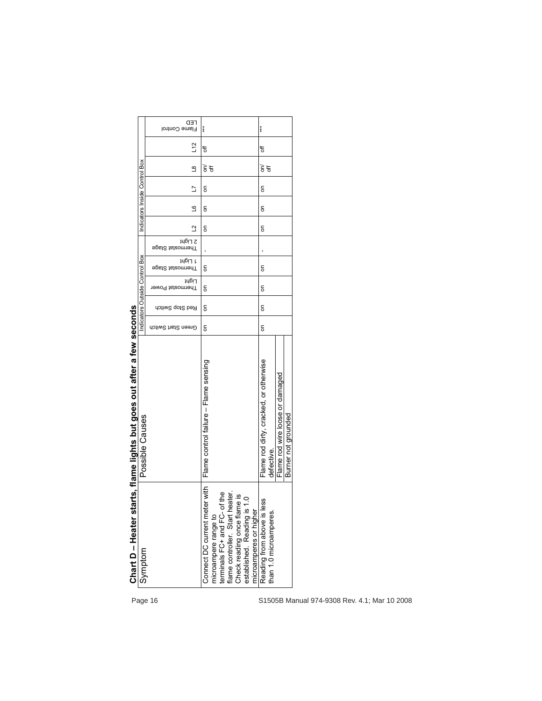|                                                                        |                               | <b>CED</b><br>Flame Control        | $***$                                                                                                                                                                                                                  | ***                                                    |                                 |                     |                                              |
|------------------------------------------------------------------------|-------------------------------|------------------------------------|------------------------------------------------------------------------------------------------------------------------------------------------------------------------------------------------------------------------|--------------------------------------------------------|---------------------------------|---------------------|----------------------------------------------|
|                                                                        |                               | L12                                | ₩                                                                                                                                                                                                                      | ₩                                                      |                                 |                     |                                              |
|                                                                        |                               | $\mathbf{\underline{\omega}}$      | $\widetilde{\varepsilon}$ $\sharp$                                                                                                                                                                                     | $\widetilde{\epsilon}$ $\sharp$                        |                                 |                     |                                              |
|                                                                        |                               | Ľ                                  | $\overline{5}$                                                                                                                                                                                                         | δ                                                      |                                 |                     |                                              |
|                                                                        | Indicators Inside Control Box | $\mathbf{S}$                       | δ                                                                                                                                                                                                                      | S                                                      |                                 |                     |                                              |
|                                                                        |                               | $\Delta$                           | $\overline{5}$                                                                                                                                                                                                         | g                                                      |                                 |                     |                                              |
|                                                                        |                               | 2 Light<br><b>Fhermostat Stage</b> |                                                                                                                                                                                                                        |                                                        |                                 |                     |                                              |
|                                                                        | Box                           | 14617 L<br><b>Fhermostat Stage</b> | δ                                                                                                                                                                                                                      | g                                                      |                                 |                     |                                              |
|                                                                        | Indicators Outside Control    | <b>Light</b><br>Thermostat Power   | $\overline{5}$                                                                                                                                                                                                         | $\mathsf{S}$                                           |                                 |                     |                                              |
|                                                                        |                               | Red Stop Switch                    | $\overline{5}$                                                                                                                                                                                                         | $\overline{5}$                                         |                                 |                     |                                              |
|                                                                        |                               | Green Start Switch                 | δ                                                                                                                                                                                                                      | $\mathsf{S}$                                           |                                 |                     |                                              |
| Chart D – Heater starts, flame lights but goes out after a few seconds | Possible Causes               |                                    | Flame control failure - Flame sensing                                                                                                                                                                                  | Flame rod dirty, cracked, or otherwise<br>defective.   | Flame rod wire loose or damaged | Burner not grounded |                                              |
|                                                                        | Symptom                       |                                    | Connect DC current meter with<br>of the<br>heater.<br>Check reading once flame is<br>established. Reading is 1.0<br>microamperes or higher<br>terminals FC+ and FC-<br>flame controller. Start<br>microampere range to | less<br>than 1.0 microamperes<br>Reading from above is |                                 |                     |                                              |
|                                                                        |                               | Page 16                            |                                                                                                                                                                                                                        |                                                        |                                 |                     | S1505B Manual 974-9308 Rev. 4.1; Mar 10 2008 |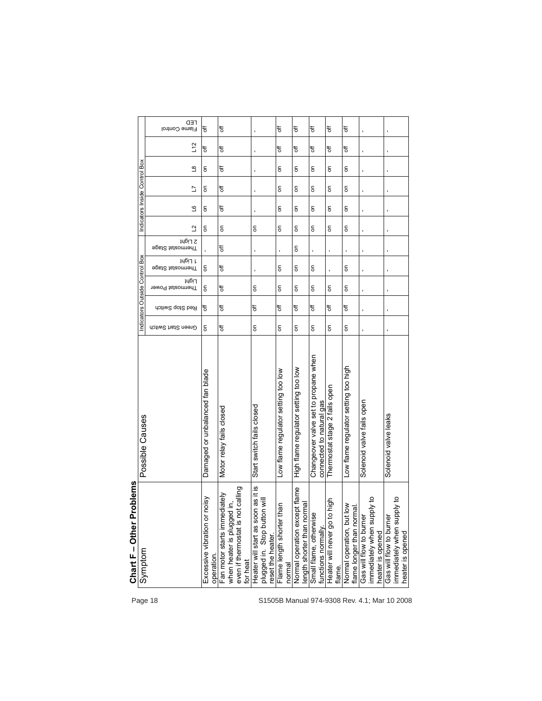| Page 18 | roblems<br>Chart $F$ - Other P<br>Symptom                                                                   | Possible Causes                                                  | Green Start Switch | Indicators Outside Control Box<br>Red Stop Switch | Thermostat Power | <b>Fhermostat Stage</b>                                                                                                                                    | <b>∍</b> gst2 tsteomnenT |                                                                                                                                                            | Indicators Inside Control Box |                                                                                                                                                            |                                           |          | Flame Control   |
|---------|-------------------------------------------------------------------------------------------------------------|------------------------------------------------------------------|--------------------|---------------------------------------------------|------------------|------------------------------------------------------------------------------------------------------------------------------------------------------------|--------------------------|------------------------------------------------------------------------------------------------------------------------------------------------------------|-------------------------------|------------------------------------------------------------------------------------------------------------------------------------------------------------|-------------------------------------------|----------|-----------------|
|         | noisy<br>Excessive vibration or                                                                             | Damaged or unbalanced fan blade                                  | δ                  | ₹                                                 | Light<br>δ       | 1 Light<br>δ                                                                                                                                               | 2 Light                  | ₫<br>$\overline{5}$                                                                                                                                        | 9<br>$\overline{5}$           | $\overline{5}$<br>Ľ                                                                                                                                        | $\overline{\mathbf{S}}$<br>$\overline{5}$ | L12<br>đ | <b>CED</b><br>đ |
|         | operation.                                                                                                  |                                                                  |                    |                                                   |                  |                                                                                                                                                            |                          |                                                                                                                                                            |                               |                                                                                                                                                            |                                           |          |                 |
|         | even if thermostat is not calling<br>Fan motor starts immediately<br>when heater is plugged in,<br>for heat | Motor relay fails closed                                         | t                  | t                                                 | đ                | đ                                                                                                                                                          | đ                        | δ                                                                                                                                                          | ₹                             | ₹                                                                                                                                                          | ₹                                         | đ        | ₩               |
|         | Heater will start as soon as it is<br>plugged in. Stop button will<br>reset the heater                      | Start switch fails closed                                        | $\overline{5}$     | đ                                                 | δ                |                                                                                                                                                            |                          | $\mathsf{S}$                                                                                                                                               |                               |                                                                                                                                                            |                                           |          |                 |
|         | nan<br>Flame length shorter th<br>normal                                                                    | Low flame regulator setting too low                              | δ                  | ₹                                                 | $\overline{5}$   | $\overline{5}$                                                                                                                                             |                          | δ                                                                                                                                                          | $\overline{5}$                | $\overline{5}$                                                                                                                                             | $\overline{5}$                            | ₩        | ъ               |
|         | Normal operation except flame<br><b>Term</b><br>length shorter than nor                                     | High flame regulator setting too low                             | δ                  | đ                                                 | δ                | g                                                                                                                                                          | δ                        | δ                                                                                                                                                          | δ                             | δ                                                                                                                                                          | δ                                         | đ        | t               |
|         | Small flame, otherwise<br>functions normally                                                                | Changeover valve set to propane when<br>connected to natural gas | δ                  | đ                                                 | δ                | $\mathsf{S}% _{T}=\mathsf{S}_{T}\!\left( a,b\right) ,\mathsf{S}_{T}=\mathsf{S}_{T}\!\left( a,b\right) ,\mathsf{S}_{T}=\mathsf{S}_{T}\!\left( a,b\right) ,$ | $\blacksquare$           | $\mathsf{S}% _{T}=\mathsf{S}_{T}\!\left( a,b\right) ,\mathsf{S}_{T}=\mathsf{S}_{T}\!\left( a,b\right) ,\mathsf{S}_{T}=\mathsf{S}_{T}\!\left( a,b\right) ,$ | δ                             | $\mathsf{S}% _{T}=\mathsf{S}_{T}\!\left( a,b\right) ,\mathsf{S}_{T}=\mathsf{S}_{T}\!\left( a,b\right) ,\mathsf{S}_{T}=\mathsf{S}_{T}\!\left( a,b\right) ,$ | δ                                         | đ        | t               |
|         | high<br>Heater will never go to<br>flame.                                                                   | Thermostat stage 2 fails open                                    | $\overline{5}$     | ₹                                                 | $\overline{5}$   |                                                                                                                                                            |                          | g                                                                                                                                                          | δ                             | δ                                                                                                                                                          | δ                                         | ₩        | t               |
|         | $\frac{8}{6}$<br>ख़<br>flame longer than norm<br>Normal operation, but                                      | Low flame regulator setting too high                             | $\overline{5}$     | đ                                                 | δ                | g                                                                                                                                                          |                          | g                                                                                                                                                          | δ                             | S                                                                                                                                                          | S                                         | ₩        | t               |
|         | oly to<br>immediately when supp<br>Gas will flow to burner<br>heater is opened                              | Solenoid valve fails open                                        |                    |                                                   |                  |                                                                                                                                                            |                          |                                                                                                                                                            |                               |                                                                                                                                                            |                                           |          |                 |
|         | ply to<br>immediately when sup<br>Gas will flow to burner<br>heater is opened                               | Solenoid valve leaks                                             |                    |                                                   |                  |                                                                                                                                                            |                          |                                                                                                                                                            | ı                             |                                                                                                                                                            |                                           |          |                 |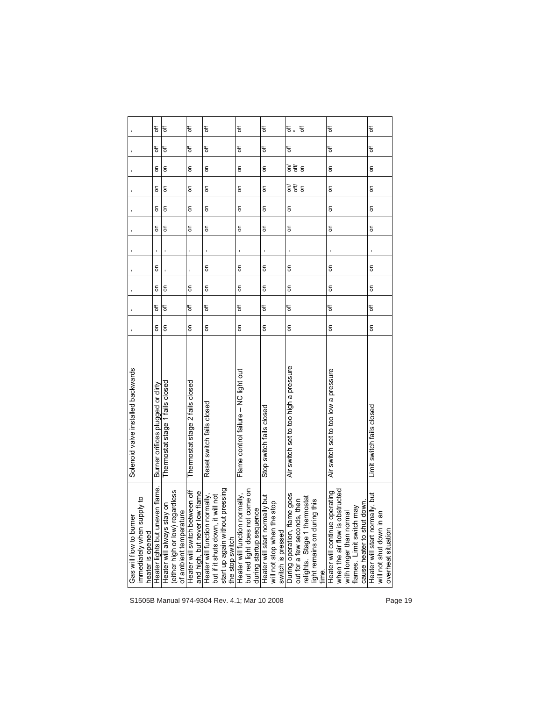|                                                                           | t                                | ъ                                                                                                      | ₹                                                               | ð                                                                                                                              | ъ                                                                | t                                                                                                             | t<br>₩.                                                                                                                                         | ₹                                                                                                                                                          | đ                                                                                                                                                                                                                                                                                                                                                                                                                                                        |         |
|---------------------------------------------------------------------------|----------------------------------|--------------------------------------------------------------------------------------------------------|-----------------------------------------------------------------|--------------------------------------------------------------------------------------------------------------------------------|------------------------------------------------------------------|---------------------------------------------------------------------------------------------------------------|-------------------------------------------------------------------------------------------------------------------------------------------------|------------------------------------------------------------------------------------------------------------------------------------------------------------|----------------------------------------------------------------------------------------------------------------------------------------------------------------------------------------------------------------------------------------------------------------------------------------------------------------------------------------------------------------------------------------------------------------------------------------------------------|---------|
|                                                                           | đ                                | đ                                                                                                      | đ                                                               | đ                                                                                                                              | đ                                                                | đ                                                                                                             | đ                                                                                                                                               | đ                                                                                                                                                          | đ                                                                                                                                                                                                                                                                                                                                                                                                                                                        |         |
|                                                                           | g                                | $\mathsf{S}\,$                                                                                         | $\mathsf{S}\,$                                                  | $\overline{5}$                                                                                                                 | $\mathsf{S}$                                                     | δ                                                                                                             | डे में ई                                                                                                                                        | $\mathsf{S}\,$                                                                                                                                             | $\mathsf{S}$                                                                                                                                                                                                                                                                                                                                                                                                                                             |         |
|                                                                           | δ                                | $\overline{5}$                                                                                         | $\overline{5}$                                                  | $\overline{5}$                                                                                                                 | $\overline{5}$                                                   | $\overline{5}$                                                                                                | डे में ई                                                                                                                                        | $\overline{5}$                                                                                                                                             | $\overline{5}$                                                                                                                                                                                                                                                                                                                                                                                                                                           |         |
|                                                                           | g                                | $\mathsf{S}\,$                                                                                         | $\overline{5}$                                                  | $\overline{5}$                                                                                                                 | δ                                                                | $\overline{5}$                                                                                                | $\overline{5}$                                                                                                                                  | $\overline{5}$                                                                                                                                             | $\mathsf{S}% _{T}=\mathsf{S}_{T}\!\left( a,b\right) ,\mathsf{S}_{T}=\mathsf{S}_{T}\!\left( a,b\right) ,\mathsf{S}_{T}=\mathsf{S}_{T}\!\left( a,b\right) ,\mathsf{S}_{T}=\mathsf{S}_{T}\!\left( a,b\right) ,\mathsf{S}_{T}=\mathsf{S}_{T}\!\left( a,b\right) ,\mathsf{S}_{T}=\mathsf{S}_{T}\!\left( a,b\right) ,\mathsf{S}_{T}=\mathsf{S}_{T}\!\left( a,b\right) ,\mathsf{S}_{T}=\mathsf{S}_{T}\!\left( a,b\right) ,\mathsf{S}_{T}=\mathsf{S}_{T}\!\left$ |         |
|                                                                           | g                                | $\overline{5}$                                                                                         | δ                                                               | $\overline{5}$                                                                                                                 | $\overline{5}$                                                   | δ                                                                                                             | S                                                                                                                                               | $\overline{5}$                                                                                                                                             | $\overline{5}$                                                                                                                                                                                                                                                                                                                                                                                                                                           |         |
|                                                                           |                                  |                                                                                                        |                                                                 |                                                                                                                                |                                                                  |                                                                                                               |                                                                                                                                                 |                                                                                                                                                            |                                                                                                                                                                                                                                                                                                                                                                                                                                                          |         |
|                                                                           | S                                |                                                                                                        |                                                                 | $\overline{5}$                                                                                                                 | $\overline{5}$                                                   | $\overline{5}$                                                                                                | $\overline{5}$                                                                                                                                  | $\overline{5}$                                                                                                                                             | $\overline{5}$                                                                                                                                                                                                                                                                                                                                                                                                                                           |         |
|                                                                           | $\overline{5}$                   | δ                                                                                                      | δ                                                               | $\overline{5}$                                                                                                                 |                                                                  | δ                                                                                                             | $\overline{5}$                                                                                                                                  | $\overline{5}$                                                                                                                                             | δ                                                                                                                                                                                                                                                                                                                                                                                                                                                        |         |
|                                                                           | đ                                | ₹                                                                                                      | ₹                                                               | ₹                                                                                                                              | đ                                                                | đ                                                                                                             | đ                                                                                                                                               | ₹                                                                                                                                                          | ₹                                                                                                                                                                                                                                                                                                                                                                                                                                                        |         |
|                                                                           | $\overline{5}$                   | $\mathsf{S}$                                                                                           | $\mathsf{S}$                                                    | $\overline{5}$                                                                                                                 |                                                                  | δ                                                                                                             | δ                                                                                                                                               | $\overline{5}$                                                                                                                                             | $\overline{5}$                                                                                                                                                                                                                                                                                                                                                                                                                                           |         |
| Solenoid valve installed backwards                                        | Burner orifices plugged or dirty | Thermostat stage 1 fails closed                                                                        | Thermostat stage 2 fails closed                                 | Reset switch fails closed                                                                                                      | Flame control failure - NC light out                             | Stop switch fails closed                                                                                      | Air switch set to too high a pressure                                                                                                           | Air switch set to too low a pressure                                                                                                                       | Limit switch fails closed                                                                                                                                                                                                                                                                                                                                                                                                                                |         |
| immediately when supply to<br>Gas will flow to burner<br>heater is opened | Heater lights but uneven flame.  | (either high or low) regardless<br>$\overline{5}$<br>of ambient temperature<br>Heater will always stay | Heater will switch between off<br>and high, but never low flame | start up again without pressing<br>rmally,<br>but if it shuts down, it will not<br>Heater will function nor<br>the stop switch | but red light does not come on<br>Heater will function normally, | during startup sequence<br>Heater will start normally but<br>will not stop when the stop<br>switch is pressed | During operation, flame goes<br>nostat<br>then<br>this<br>relights. Stage 1 therm<br>light remains on during<br>out for a few seconds,<br>time. | when the air flow is obstructed<br>erating<br>cause heater to shut down.<br>flames. Limit switch may<br>with longer than normal<br>Heater will continue op | lly, but<br>Heater will start normal<br>will not shut down in ar<br>overheat situation                                                                                                                                                                                                                                                                                                                                                                   |         |
|                                                                           |                                  |                                                                                                        |                                                                 | S1505B Manual 974-9304 Rev. 4.1; Mar 10 2008                                                                                   |                                                                  |                                                                                                               |                                                                                                                                                 |                                                                                                                                                            |                                                                                                                                                                                                                                                                                                                                                                                                                                                          | Page 19 |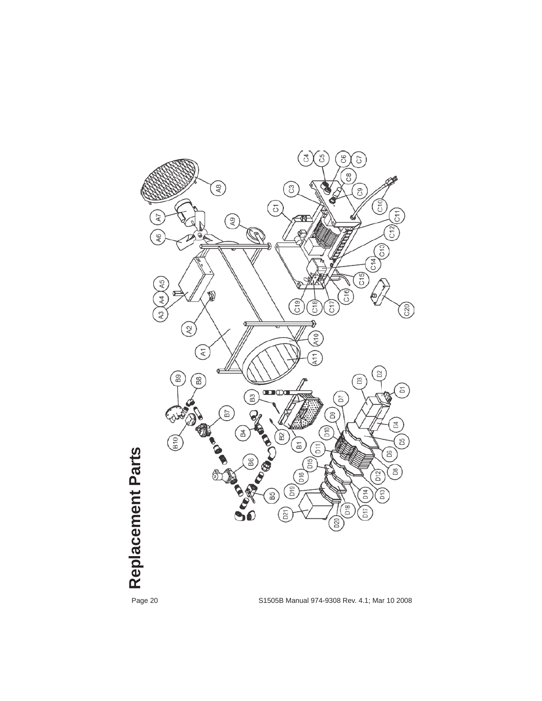

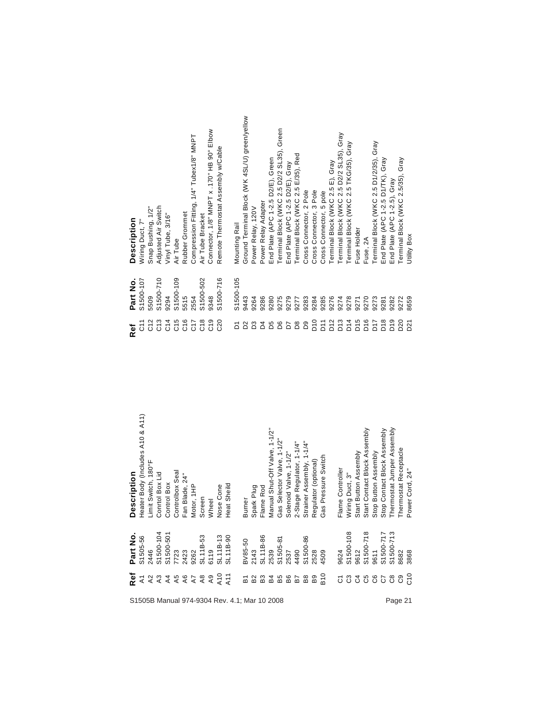|                                              |                 | Snap Bushing, 1/2" | Adjusted Air Switch | Vinyl Tube, 3/16" |                 | Rubber Grommet | Compression Fitting, 1/4" Tubex1/8" MNPT | Air Tube Bracket | Connector, 1/8" MNPT x .170" HB 90° Elbow | Remote Thermostat Assembly w/Cable |                                                                                                                                                                          |                | Ground Terminal Block (WK 4SL/U) green/yellow | Power Relay, 120V | Power Relay Adapter | End Plate (APC 1-2.5 D2/E), Green                                                                                                                                                                       | Terminal Block (WKC 2.5 D2/2 SL35), Green | End Plate (APC 1-2.5 D2/E), Gray | Terminal Block (WKC 2.5 E/35), Red | Cross Connector, 2 Pole | Cross Connector, 3 Pole | Cross Connector, 5 pole | Terminal Block (WKC 2.5 E), Gray | Terminal Block (WKC 2.5 D2/2 SL35), Gray | Terminal Block (WKC 2.5 TKG/35), Gray |                 |                 | Terminal Block (WKC 2.5 D1/2/35), Gray | End Plate (APC 1-2.5 D1/TK), Gray | End Plate (APC 1-2.5), Gray | Terminal Block (WKC 2.5/35), Gray                                                                                                                                                                                             |             |
|----------------------------------------------|-----------------|--------------------|---------------------|-------------------|-----------------|----------------|------------------------------------------|------------------|-------------------------------------------|------------------------------------|--------------------------------------------------------------------------------------------------------------------------------------------------------------------------|----------------|-----------------------------------------------|-------------------|---------------------|---------------------------------------------------------------------------------------------------------------------------------------------------------------------------------------------------------|-------------------------------------------|----------------------------------|------------------------------------|-------------------------|-------------------------|-------------------------|----------------------------------|------------------------------------------|---------------------------------------|-----------------|-----------------|----------------------------------------|-----------------------------------|-----------------------------|-------------------------------------------------------------------------------------------------------------------------------------------------------------------------------------------------------------------------------|-------------|
| <b>Description</b>                           | Niring Duct, 7" |                    |                     |                   | Air Tube        |                |                                          |                  |                                           |                                    |                                                                                                                                                                          | Mounting Rail  |                                               |                   |                     |                                                                                                                                                                                                         |                                           |                                  |                                    |                         |                         |                         |                                  |                                          |                                       | Fuse Holder     | Fuse, 2A        |                                        |                                   |                             |                                                                                                                                                                                                                               | Jtility Box |
| Part No.                                     | S1500-107       | 5509               | S1500-710           | 9294              | S1500-109       | 5515           | 2554                                     | S1500-502        | 9348                                      | S1500-716                          |                                                                                                                                                                          | S1500-105      | 9443                                          | 9264              | 9286                | 9280                                                                                                                                                                                                    | 9275                                      | 9279                             | 9277                               | 9283                    | 9284                    | 9285                    | 9276                             | 9274                                     | 9278                                  | 9271            | 9270            | 9273                                   | 9281                              | 9282                        | 9272                                                                                                                                                                                                                          | 8659        |
| Ref                                          |                 | C12                | $\frac{3}{5}$       | C14               | C <sub>15</sub> | $\frac{6}{5}$  | C <sub>12</sub>                          | $\frac{8}{5}$    | $\frac{9}{5}$                             | C20                                |                                                                                                                                                                          | $\overline{D}$ | D <sup>2</sup>                                | D3                | $\overline{a}$      | D5                                                                                                                                                                                                      | D6                                        | $\overline{D}$                   | $\mathsf{D}8$                      | D9                      | $\frac{0}{2}$           | $\overline{5}$          | D <sub>12</sub>                  | D <sub>13</sub>                          | D14                                   | D <sub>15</sub> | D <sub>16</sub> | D <sub>17</sub>                        | D18                               | D <sub>10</sub>             | D <sub>20</sub>                                                                                                                                                                                                               | D21         |
| <b>Description</b>                           |                 |                    |                     |                   |                 |                |                                          |                  |                                           |                                    | Heater Body (Includes A10 & A11)<br>Limit Switch, 180°F<br>Conrtol Box Lid<br>Control Box<br>Controlbox Seal<br>Fan Blade, 24"<br>Motor, 1HP<br>Screen<br>Wheel<br>Wheel |                |                                               |                   |                     | Burner<br>Spark Plug<br>Flame Rod<br>Manual Shut-Off Valve, 1-1/2"<br>Gas Selector Valve, 1-1/2"<br>Solenoid Valve, 1-1/2"<br>2-Stage Regulator, 1-1/4"<br>Regulator (optional)<br>Regulator (optional) |                                           |                                  |                                    |                         |                         |                         |                                  |                                          |                                       |                 |                 |                                        |                                   |                             | Flame Controller<br>Wiring Duct, 3"<br>Start Button Assembly<br>Start Contact Block Assembly<br>Stop Button Assembly<br>Stop Contact Block Assembly<br>Thermostat Jumper Assembly<br>Thermostat Receptacle<br>Power Cord, 24" |             |
|                                              |                 |                    |                     |                   |                 |                |                                          |                  |                                           |                                    |                                                                                                                                                                          |                |                                               |                   |                     |                                                                                                                                                                                                         |                                           |                                  |                                    |                         |                         |                         |                                  |                                          |                                       |                 |                 |                                        |                                   |                             |                                                                                                                                                                                                                               |             |
| Frantretser Emmannehmen boggeboop            |                 |                    |                     |                   |                 |                |                                          |                  |                                           |                                    |                                                                                                                                                                          |                |                                               |                   |                     |                                                                                                                                                                                                         |                                           |                                  |                                    |                         |                         |                         |                                  |                                          |                                       |                 |                 |                                        |                                   |                             |                                                                                                                                                                                                                               |             |
| S1505B Manual 974-9304 Rev. 4.1; Mar 10 2008 |                 |                    |                     |                   |                 |                |                                          |                  |                                           |                                    |                                                                                                                                                                          |                |                                               |                   |                     |                                                                                                                                                                                                         |                                           |                                  |                                    |                         |                         |                         |                                  |                                          |                                       |                 |                 |                                        |                                   |                             |                                                                                                                                                                                                                               | Page 21     |

| Part No.  | <b>Description</b>                                                                |
|-----------|-----------------------------------------------------------------------------------|
| S1500-107 | Wiring Duct, 7"                                                                   |
| 5509      | Snap Bushing, 1/2"                                                                |
| S1500-710 | Adjusted Air Switch                                                               |
| 9294      | Vinyl Tube, 3/16"                                                                 |
| S1500-109 | Air Tube                                                                          |
| 5515      | Rubber Grommet                                                                    |
| 2554      | Compression Fitting, 1/4" Tubex1/8" MNPT                                          |
| S1500-502 | Air Tube Bracket                                                                  |
| 9348      | Connector, 1/8" MNPT x .170" HB 90° Elbow                                         |
| S1500-716 | Remote Thermostat Assembly w/Cable                                                |
| S1500-105 | Mounting Rail                                                                     |
| 9443      | Ground Terminal Block (WK 4SL/U) green/yellow                                     |
| 9264      | Power Relay, 120V                                                                 |
| 9286      | Power Relay Adapter                                                               |
| 9280      | End Plate (APC 1-2.5 D2/E), Green                                                 |
| 9275      | Terminal Block (WKC 2.5 D2/2 SL35), Green                                         |
| 9279      | End Plate (APC 1-2.5 D2/E), Gray                                                  |
| 9277      | Terminal Block (WKC 2.5 E/35), Red                                                |
| 9283      | Cross Connector, 2 Pole                                                           |
| 9284      | Cross Connector, 3 Pole                                                           |
| 9285      | Cross Connector, 5 pole                                                           |
| 9276      | Terminal Block (WKC 2.5 E), Gray                                                  |
| 9274      |                                                                                   |
| 9278      | Terminal Block (WKC 2.5 D2/2 SL35), Gray<br>Terminal Block (WKC 2.5 TKG/35), Gray |
| 9271      | Fuse Holder                                                                       |
| 9270      | Fuse, 2A                                                                          |
| 9273      | Terminal Block (WKC 2.5 D1/2/35), Gray                                            |
| 9281      |                                                                                   |
| 9282      | End Plate (APC 1-2.5 D1/TK), Gray<br>End Plate (APC 1-2.5), Gray                  |
| 9272      | Terminal Block (WKC 2.5/35), Gray                                                 |
| 8659      | Utility Box                                                                       |
|           |                                                                                   |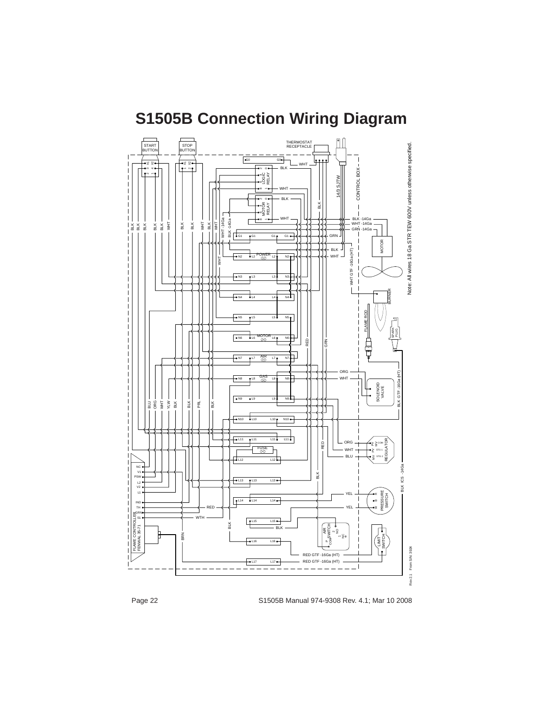

# **S1505B Connection Wiring Diagram**

Page 22 S1505B Manual 974-9308 Rev. 4.1; Mar 10 2008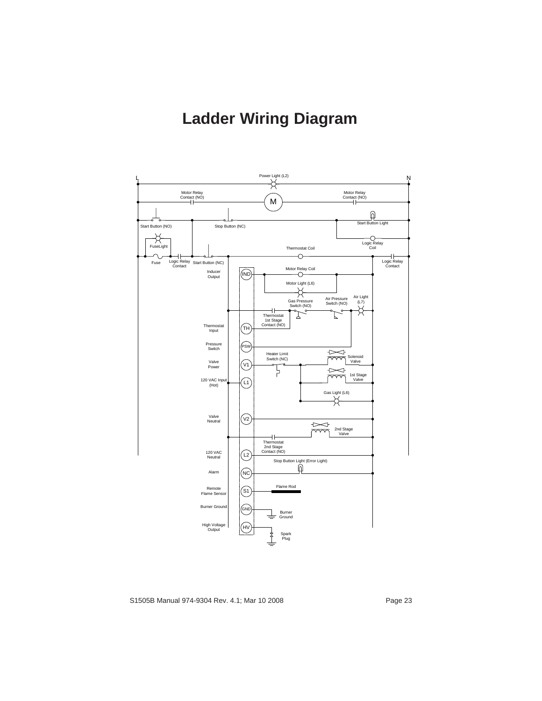## **Ladder Wiring Diagram**



S1505B Manual 974-9304 Rev. 4.1; Mar 10 2008 example 23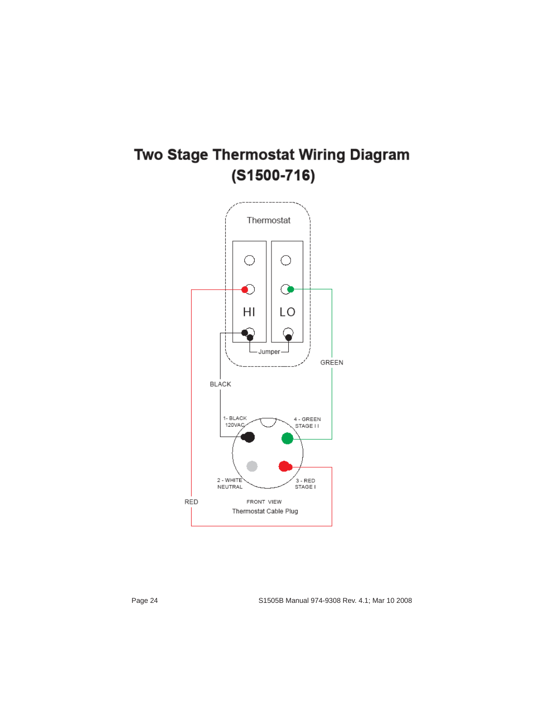## Two Stage Thermostat Wiring Diagram  $(S1500 - 716)$

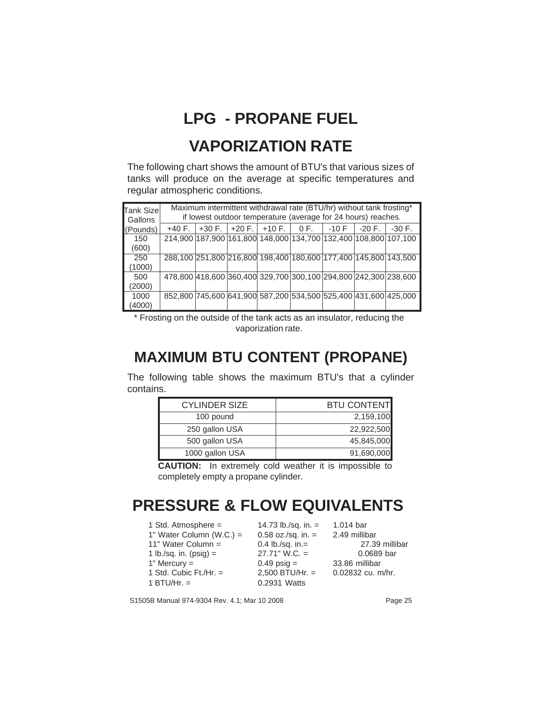## **LPG - PROPANE FUEL**

#### **VAPORIZATION RATE**

The following chart shows the amount of BTU's that various sizes of tanks will produce on the average at specific temperatures and regular atmospheric conditions.

| Tank Size<br>Gallons |          |          | Maximum intermittent withdrawal rate (BTU/hr) without tank frosting*<br>if lowest outdoor temperature (average for 24 hours) reaches. |         |          |          |
|----------------------|----------|----------|---------------------------------------------------------------------------------------------------------------------------------------|---------|----------|----------|
| (Pounds)             | $+40 F.$ | $+30 F.$ | $+20$ F. $+10$ F. $0$ F.                                                                                                              | $-10$ F | $-20 F.$ | $-30$ F. |
| 150                  |          |          | 214,900 187,900 161,800 148,000 134,700 132,400 108,800 107,100                                                                       |         |          |          |
| (600)                |          |          |                                                                                                                                       |         |          |          |
| 250                  |          |          | 288,100 251,800 216,800 198,400 180,600 177,400 145,800 143,500                                                                       |         |          |          |
| (1000)               |          |          |                                                                                                                                       |         |          |          |
| 500                  |          |          | 478,800 418,600 360,400 329,700 300,100 294,800 242,300 238,600                                                                       |         |          |          |
| (2000)               |          |          |                                                                                                                                       |         |          |          |
| 1000                 |          |          | 852,800 745,600 641,900 587,200 534,500 525,400 431,600 425,000                                                                       |         |          |          |
| (4000)               |          |          |                                                                                                                                       |         |          |          |

\* Frosting on the outside of the tank acts as an insulator, reducing the vaporization rate.

#### **MAXIMUM BTU CONTENT (PROPANE)**

The following table shows the maximum BTU's that a cylinder contains.

| <b>CYLINDER SIZE</b> | <b>BTU CONTENT</b> |
|----------------------|--------------------|
| 100 pound            | 2,159,100          |
| 250 gallon USA       | 22,922,500         |
| 500 gallon USA       | 45,845,000         |
| 1000 gallon USA      | 91,690,000         |

**CAUTION:** In extremely cold weather it is impossible to completely empty a propane cylinder.

#### **PRESSURE & FLOW EQUIVALENTS**

| 1 Std. Atmosphere $=$    | 14.73 lb./sq. in. $=$ | 1.014 bar           |
|--------------------------|-----------------------|---------------------|
| 1" Water Column (W.C.) = | $0.58$ oz./sq. in. =  | 2.49 millibar       |
| 11" Water Column =       | 0.4 lb./sq. in.=      | 27.39 millibar      |
| 1 lb./sq. in. ( $psi =$  | $27.71$ " W.C. =      | 0.0689 bar          |
| 1" Mercury $=$           | $0.49$ psig =         | 33.86 millibar      |
| 1 Std. Cubic $Ft./Hr. =$ | $2.500$ BTU/Hr. =     | $0.02832$ cu. m/hr. |
| 1 BTU/Hr. $=$            | 0.2931 Watts          |                     |

S1505B Manual 974-9304 Rev. 4.1; Mar 10 2008 **Page 25**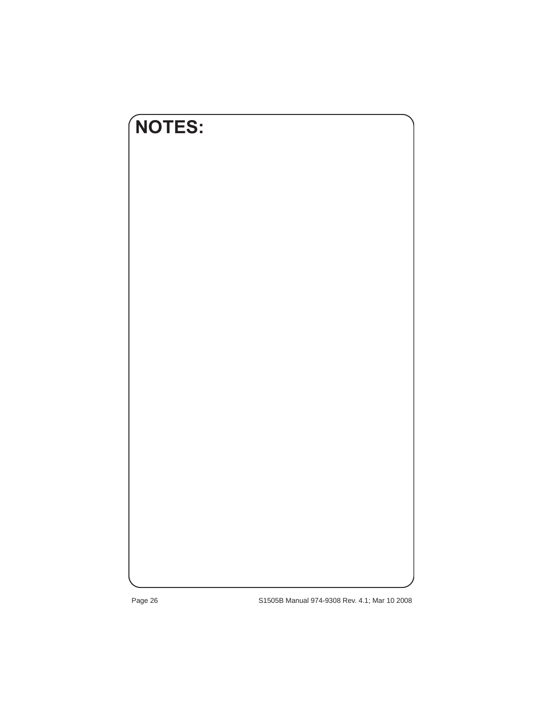

Page 26 S1505B Manual 974-9308 Rev. 4.1; Mar 10 2008